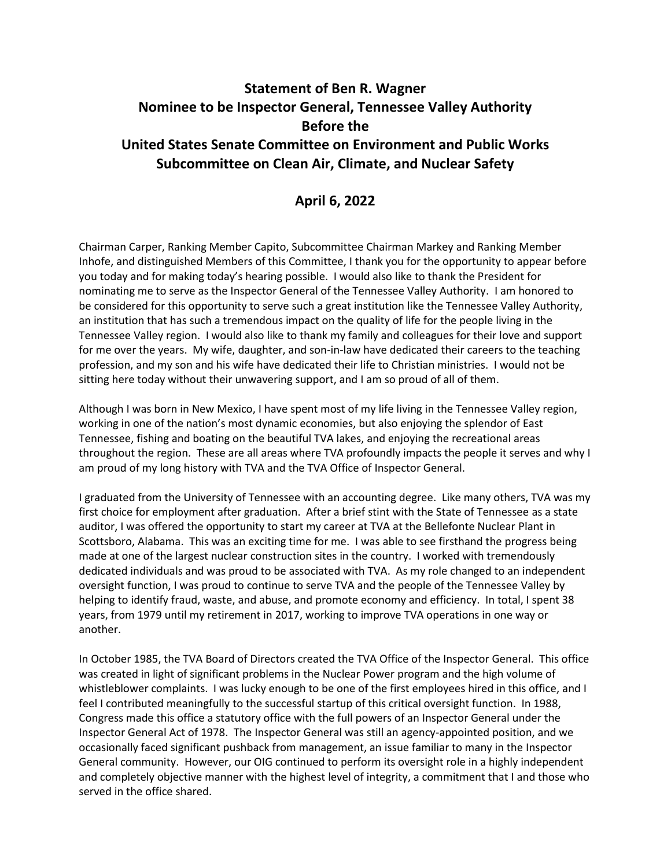## **Statement of Ben R. Wagner Nominee to be Inspector General, Tennessee Valley Authority Before the United States Senate Committee on Environment and Public Works Subcommittee on Clean Air, Climate, and Nuclear Safety**

## **April 6, 2022**

Chairman Carper, Ranking Member Capito, Subcommittee Chairman Markey and Ranking Member Inhofe, and distinguished Members of this Committee, I thank you for the opportunity to appear before you today and for making today's hearing possible. I would also like to thank the President for nominating me to serve as the Inspector General of the Tennessee Valley Authority. I am honored to be considered for this opportunity to serve such a great institution like the Tennessee Valley Authority, an institution that has such a tremendous impact on the quality of life for the people living in the Tennessee Valley region. I would also like to thank my family and colleagues for their love and support for me over the years. My wife, daughter, and son-in-law have dedicated their careers to the teaching profession, and my son and his wife have dedicated their life to Christian ministries. I would not be sitting here today without their unwavering support, and I am so proud of all of them.

Although I was born in New Mexico, I have spent most of my life living in the Tennessee Valley region, working in one of the nation's most dynamic economies, but also enjoying the splendor of East Tennessee, fishing and boating on the beautiful TVA lakes, and enjoying the recreational areas throughout the region. These are all areas where TVA profoundly impacts the people it serves and why I am proud of my long history with TVA and the TVA Office of Inspector General.

I graduated from the University of Tennessee with an accounting degree. Like many others, TVA was my first choice for employment after graduation. After a brief stint with the State of Tennessee as a state auditor, I was offered the opportunity to start my career at TVA at the Bellefonte Nuclear Plant in Scottsboro, Alabama. This was an exciting time for me. I was able to see firsthand the progress being made at one of the largest nuclear construction sites in the country. I worked with tremendously dedicated individuals and was proud to be associated with TVA. As my role changed to an independent oversight function, I was proud to continue to serve TVA and the people of the Tennessee Valley by helping to identify fraud, waste, and abuse, and promote economy and efficiency. In total, I spent 38 years, from 1979 until my retirement in 2017, working to improve TVA operations in one way or another.

In October 1985, the TVA Board of Directors created the TVA Office of the Inspector General. This office was created in light of significant problems in the Nuclear Power program and the high volume of whistleblower complaints. I was lucky enough to be one of the first employees hired in this office, and I feel I contributed meaningfully to the successful startup of this critical oversight function. In 1988, Congress made this office a statutory office with the full powers of an Inspector General under the Inspector General Act of 1978. The Inspector General was still an agency-appointed position, and we occasionally faced significant pushback from management, an issue familiar to many in the Inspector General community. However, our OIG continued to perform its oversight role in a highly independent and completely objective manner with the highest level of integrity, a commitment that I and those who served in the office shared.